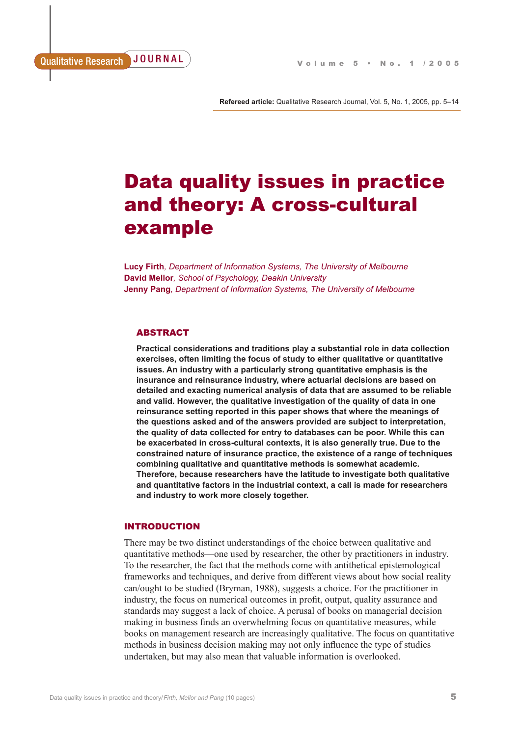**Refereed article:** Qualitative Research Journal, Vol. 5, No. 1, 2005, pp. 5–14

# Data quality issues in practice and theory: A cross-cultural example

**Lucy Firth***, Department of Information Systems, The University of Melbourne* **David Mellor***, School of Psychology, Deakin University* **Jenny Pang***, Department of Information Systems, The University of Melbourne*

# ABSTRACT

**Practical considerations and traditions play a substantial role in data collection exercises, often limiting the focus of study to either qualitative or quantitative issues. An industry with a particularly strong quantitative emphasis is the insurance and reinsurance industry, where actuarial decisions are based on detailed and exacting numerical analysis of data that are assumed to be reliable and valid. However, the qualitative investigation of the quality of data in one reinsurance setting reported in this paper shows that where the meanings of the questions asked and of the answers provided are subject to interpretation, the quality of data collected for entry to databases can be poor. While this can be exacerbated in cross-cultural contexts, it is also generally true. Due to the constrained nature of insurance practice, the existence of a range of techniques combining qualitative and quantitative methods is somewhat academic. Therefore, because researchers have the latitude to investigate both qualitative and quantitative factors in the industrial context, a call is made for researchers and industry to work more closely together.** 

# INTRODUCTION

There may be two distinct understandings of the choice between qualitative and quantitative methods—one used by researcher, the other by practitioners in industry. To the researcher, the fact that the methods come with antithetical epistemological frameworks and techniques, and derive from different views about how social reality can/ought to be studied (Bryman, 1988), suggests a choice. For the practitioner in industry, the focus on numerical outcomes in profit, output, quality assurance and standards may suggest a lack of choice. A perusal of books on managerial decision making in business finds an overwhelming focus on quantitative measures, while books on management research are increasingly qualitative. The focus on quantitative methods in business decision making may not only influence the type of studies undertaken, but may also mean that valuable information is overlooked.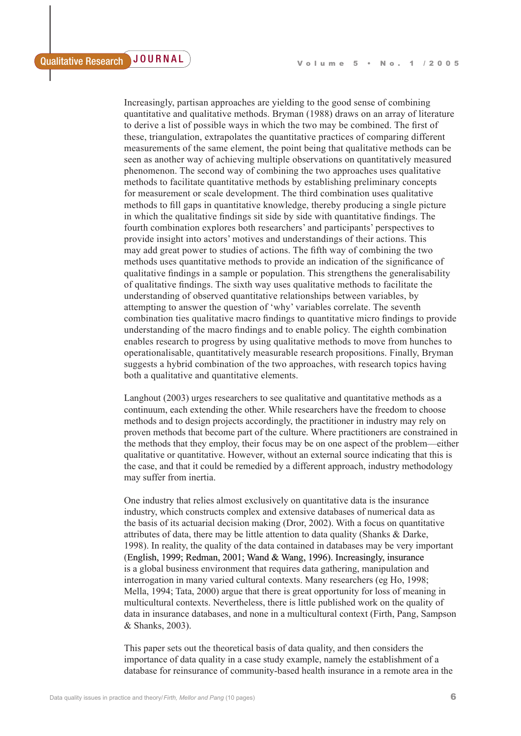Increasingly, partisan approaches are yielding to the good sense of combining quantitative and qualitative methods. Bryman (1988) draws on an array of literature to derive a list of possible ways in which the two may be combined. The first of these, triangulation, extrapolates the quantitative practices of comparing different measurements of the same element, the point being that qualitative methods can be seen as another way of achieving multiple observations on quantitatively measured phenomenon. The second way of combining the two approaches uses qualitative methods to facilitate quantitative methods by establishing preliminary concepts for measurement or scale development. The third combination uses qualitative methods to fill gaps in quantitative knowledge, thereby producing a single picture in which the qualitative findings sit side by side with quantitative findings. The fourth combination explores both researchers' and participants' perspectives to provide insight into actors' motives and understandings of their actions. This may add great power to studies of actions. The fifth way of combining the two methods uses quantitative methods to provide an indication of the significance of qualitative findings in a sample or population. This strengthens the generalisability of qualitative findings. The sixth way uses qualitative methods to facilitate the understanding of observed quantitative relationships between variables, by attempting to answer the question of 'why' variables correlate. The seventh combination ties qualitative macro findings to quantitative micro findings to provide understanding of the macro findings and to enable policy. The eighth combination enables research to progress by using qualitative methods to move from hunches to operationalisable, quantitatively measurable research propositions. Finally, Bryman suggests a hybrid combination of the two approaches, with research topics having both a qualitative and quantitative elements.

Langhout (2003) urges researchers to see qualitative and quantitative methods as a continuum, each extending the other. While researchers have the freedom to choose methods and to design projects accordingly, the practitioner in industry may rely on proven methods that become part of the culture. Where practitioners are constrained in the methods that they employ, their focus may be on one aspect of the problem—either qualitative or quantitative. However, without an external source indicating that this is the case, and that it could be remedied by a different approach, industry methodology may suffer from inertia.

One industry that relies almost exclusively on quantitative data is the insurance industry, which constructs complex and extensive databases of numerical data as the basis of its actuarial decision making (Dror, 2002). With a focus on quantitative attributes of data, there may be little attention to data quality (Shanks & Darke, 1998). In reality, the quality of the data contained in databases may be very important (English, 1999; Redman, 2001; Wand & Wang, 1996). Increasingly, insurance is a global business environment that requires data gathering, manipulation and interrogation in many varied cultural contexts. Many researchers (eg Ho, 1998; Mella, 1994; Tata, 2000) argue that there is great opportunity for loss of meaning in multicultural contexts. Nevertheless, there is little published work on the quality of data in insurance databases, and none in a multicultural context (Firth, Pang, Sampson & Shanks, 2003).

This paper sets out the theoretical basis of data quality, and then considers the importance of data quality in a case study example, namely the establishment of a database for reinsurance of community-based health insurance in a remote area in the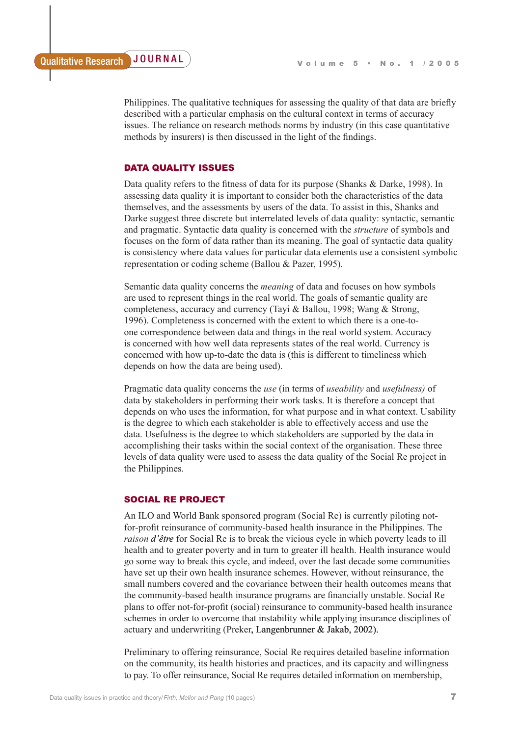Philippines. The qualitative techniques for assessing the quality of that data are briefly described with a particular emphasis on the cultural context in terms of accuracy issues. The reliance on research methods norms by industry (in this case quantitative methods by insurers) is then discussed in the light of the findings.

# DATA QUALITY ISSUES

Data quality refers to the fitness of data for its purpose (Shanks & Darke, 1998). In assessing data quality it is important to consider both the characteristics of the data themselves, and the assessments by users of the data. To assist in this, Shanks and Darke suggest three discrete but interrelated levels of data quality: syntactic, semantic and pragmatic. Syntactic data quality is concerned with the *structure* of symbols and focuses on the form of data rather than its meaning. The goal of syntactic data quality is consistency where data values for particular data elements use a consistent symbolic representation or coding scheme (Ballou & Pazer, 1995).

Semantic data quality concerns the *meaning* of data and focuses on how symbols are used to represent things in the real world. The goals of semantic quality are completeness, accuracy and currency (Tayi & Ballou, 1998; Wang & Strong, 1996). Completeness is concerned with the extent to which there is a one-toone correspondence between data and things in the real world system. Accuracy is concerned with how well data represents states of the real world. Currency is concerned with how up-to-date the data is (this is different to timeliness which depends on how the data are being used).

Pragmatic data quality concerns the *use* (in terms of *useability* and *usefulness)* of data by stakeholders in performing their work tasks. It is therefore a concept that depends on who uses the information, for what purpose and in what context. Usability is the degree to which each stakeholder is able to effectively access and use the data. Usefulness is the degree to which stakeholders are supported by the data in accomplishing their tasks within the social context of the organisation. These three levels of data quality were used to assess the data quality of the Social Re project in the Philippines.

## SOCIAL RE PROJECT

An ILO and World Bank sponsored program (Social Re) is currently piloting notfor-profit reinsurance of community-based health insurance in the Philippines. The *raison d'être* for Social Re is to break the vicious cycle in which poverty leads to ill health and to greater poverty and in turn to greater ill health. Health insurance would go some way to break this cycle, and indeed, over the last decade some communities have set up their own health insurance schemes. However, without reinsurance, the small numbers covered and the covariance between their health outcomes means that the community-based health insurance programs are financially unstable. Social Re plans to offer not-for-profit (social) reinsurance to community-based health insurance schemes in order to overcome that instability while applying insurance disciplines of actuary and underwriting (Preker, Langenbrunner & Jakab, 2002).

Preliminary to offering reinsurance, Social Re requires detailed baseline information on the community, its health histories and practices, and its capacity and willingness to pay. To offer reinsurance, Social Re requires detailed information on membership,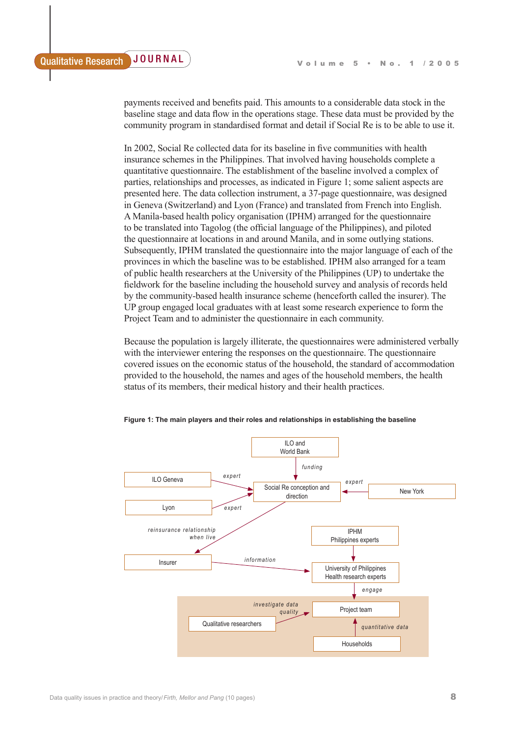payments received and benefits paid. This amounts to a considerable data stock in the baseline stage and data flow in the operations stage. These data must be provided by the community program in standardised format and detail if Social Re is to be able to use it.

In 2002, Social Re collected data for its baseline in five communities with health insurance schemes in the Philippines. That involved having households complete a quantitative questionnaire. The establishment of the baseline involved a complex of parties, relationships and processes, as indicated in Figure 1; some salient aspects are presented here. The data collection instrument, a 37-page questionnaire, was designed in Geneva (Switzerland) and Lyon (France) and translated from French into English. A Manila-based health policy organisation (IPHM) arranged for the questionnaire to be translated into Tagolog (the official language of the Philippines), and piloted the questionnaire at locations in and around Manila, and in some outlying stations. Subsequently, IPHM translated the questionnaire into the major language of each of the provinces in which the baseline was to be established. IPHM also arranged for a team of public health researchers at the University of the Philippines (UP) to undertake the fieldwork for the baseline including the household survey and analysis of records held by the community-based health insurance scheme (henceforth called the insurer). The UP group engaged local graduates with at least some research experience to form the Project Team and to administer the questionnaire in each community.

Because the population is largely illiterate, the questionnaires were administered verbally with the interviewer entering the responses on the questionnaire. The questionnaire covered issues on the economic status of the household, the standard of accommodation provided to the household, the names and ages of the household members, the health status of its members, their medical history and their health practices.



**Figure 1: The main players and their roles and relationships in establishing the baseline**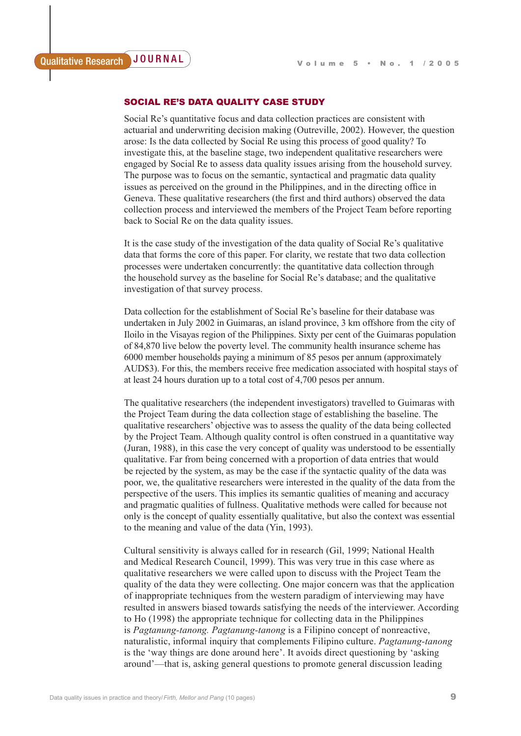# SOCIAL RE'S DATA QUALITY CASE STUDY

Social Re's quantitative focus and data collection practices are consistent with actuarial and underwriting decision making (Outreville, 2002). However, the question arose: Is the data collected by Social Re using this process of good quality? To investigate this, at the baseline stage, two independent qualitative researchers were engaged by Social Re to assess data quality issues arising from the household survey. The purpose was to focus on the semantic, syntactical and pragmatic data quality issues as perceived on the ground in the Philippines, and in the directing office in Geneva. These qualitative researchers (the first and third authors) observed the data collection process and interviewed the members of the Project Team before reporting back to Social Re on the data quality issues.

It is the case study of the investigation of the data quality of Social Re's qualitative data that forms the core of this paper. For clarity, we restate that two data collection processes were undertaken concurrently: the quantitative data collection through the household survey as the baseline for Social Re's database; and the qualitative investigation of that survey process.

Data collection for the establishment of Social Re's baseline for their database was undertaken in July 2002 in Guimaras, an island province, 3 km offshore from the city of Iloilo in the Visayas region of the Philippines. Sixty per cent of the Guimaras population of 84,870 live below the poverty level. The community health insurance scheme has 6000 member households paying a minimum of 85 pesos per annum (approximately AUD\$3). For this, the members receive free medication associated with hospital stays of at least 24 hours duration up to a total cost of 4,700 pesos per annum.

The qualitative researchers (the independent investigators) travelled to Guimaras with the Project Team during the data collection stage of establishing the baseline. The qualitative researchers' objective was to assess the quality of the data being collected by the Project Team. Although quality control is often construed in a quantitative way (Juran, 1988), in this case the very concept of quality was understood to be essentially qualitative. Far from being concerned with a proportion of data entries that would be rejected by the system, as may be the case if the syntactic quality of the data was poor, we, the qualitative researchers were interested in the quality of the data from the perspective of the users. This implies its semantic qualities of meaning and accuracy and pragmatic qualities of fullness. Qualitative methods were called for because not only is the concept of quality essentially qualitative, but also the context was essential to the meaning and value of the data (Yin, 1993).

Cultural sensitivity is always called for in research (Gil, 1999; National Health and Medical Research Council, 1999). This was very true in this case where as qualitative researchers we were called upon to discuss with the Project Team the quality of the data they were collecting. One major concern was that the application of inappropriate techniques from the western paradigm of interviewing may have resulted in answers biased towards satisfying the needs of the interviewer. According to Ho (1998) the appropriate technique for collecting data in the Philippines is *Pagtanung-tanong. Pagtanung-tanong* is a Filipino concept of nonreactive, naturalistic, informal inquiry that complements Filipino culture. *Pagtanung-tanong* is the 'way things are done around here'. It avoids direct questioning by 'asking around'—that is, asking general questions to promote general discussion leading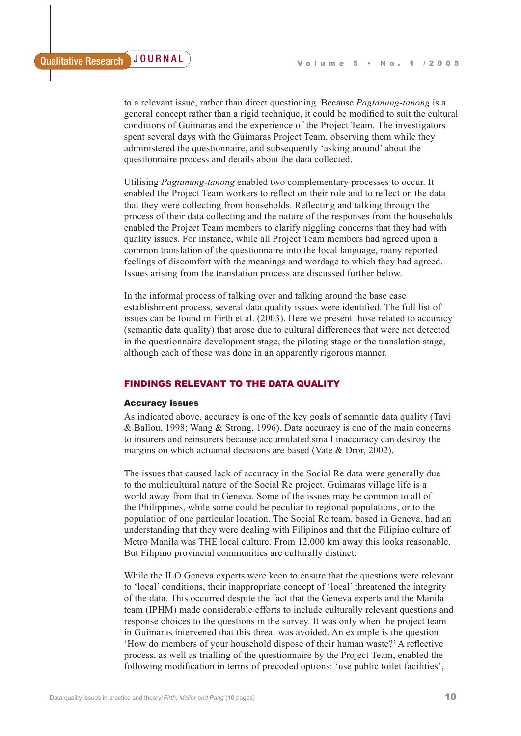to a relevant issue, rather than direct questioning. Because *Pagtanung-tanong* is a general concept rather than a rigid technique, it could be modified to suit the cultural conditions of Guimaras and the experience of the Project Team. The investigators spent several days with the Guimaras Project Team, observing them while they administered the questionnaire, and subsequently 'asking around' about the questionnaire process and details about the data collected.

Utilising *Pagtanung-tanong* enabled two complementary processes to occur. It enabled the Project Team workers to reflect on their role and to reflect on the data that they were collecting from households. Reflecting and talking through the process of their data collecting and the nature of the responses from the households enabled the Project Team members to clarify niggling concerns that they had with quality issues. For instance, while all Project Team members had agreed upon a common translation of the questionnaire into the local language, many reported feelings of discomfort with the meanings and wordage to which they had agreed. Issues arising from the translation process are discussed further below.

In the informal process of talking over and talking around the base case establishment process, several data quality issues were identified. The full list of issues can be found in Firth et al. (2003). Here we present those related to accuracy (semantic data quality) that arose due to cultural differences that were not detected in the questionnaire development stage, the piloting stage or the translation stage, although each of these was done in an apparently rigorous manner.

# FINDINGS RELEVANT TO THE DATA QUALITY

#### Accuracy issues

As indicated above, accuracy is one of the key goals of semantic data quality (Tayi & Ballou, 1998; Wang & Strong, 1996). Data accuracy is one of the main concerns to insurers and reinsurers because accumulated small inaccuracy can destroy the margins on which actuarial decisions are based (Vate & Dror, 2002).

The issues that caused lack of accuracy in the Social Re data were generally due to the multicultural nature of the Social Re project. Guimaras village life is a world away from that in Geneva. Some of the issues may be common to all of the Philippines, while some could be peculiar to regional populations, or to the population of one particular location. The Social Re team, based in Geneva, had an understanding that they were dealing with Filipinos and that the Filipino culture of Metro Manila was THE local culture. From 12,000 km away this looks reasonable. But Filipino provincial communities are culturally distinct.

While the ILO Geneva experts were keen to ensure that the questions were relevant to 'local' conditions, their inappropriate concept of 'local' threatened the integrity of the data. This occurred despite the fact that the Geneva experts and the Manila team (IPHM) made considerable efforts to include culturally relevant questions and response choices to the questions in the survey. It was only when the project team in Guimaras intervened that this threat was avoided. An example is the question 'How do members of your household dispose of their human waste?' A reflective process, as well as trialling of the questionnaire by the Project Team, enabled the following modification in terms of precoded options: 'use public toilet facilities',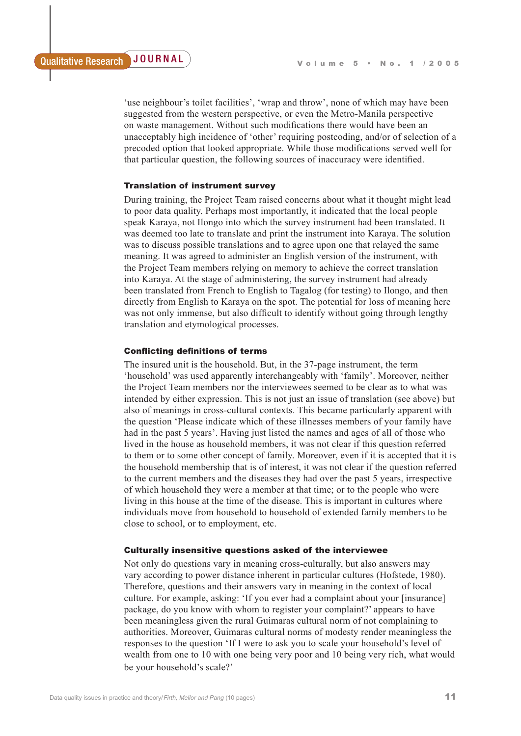'use neighbour's toilet facilities', 'wrap and throw', none of which may have been suggested from the western perspective, or even the Metro-Manila perspective on waste management. Without such modifications there would have been an unacceptably high incidence of 'other' requiring postcoding, and/or of selection of a precoded option that looked appropriate. While those modifications served well for that particular question, the following sources of inaccuracy were identified.

# Translation of instrument survey

During training, the Project Team raised concerns about what it thought might lead to poor data quality. Perhaps most importantly, it indicated that the local people speak Karaya, not Ilongo into which the survey instrument had been translated. It was deemed too late to translate and print the instrument into Karaya. The solution was to discuss possible translations and to agree upon one that relayed the same meaning. It was agreed to administer an English version of the instrument, with the Project Team members relying on memory to achieve the correct translation into Karaya. At the stage of administering, the survey instrument had already been translated from French to English to Tagalog (for testing) to Ilongo, and then directly from English to Karaya on the spot. The potential for loss of meaning here was not only immense, but also difficult to identify without going through lengthy translation and etymological processes.

## Conflicting definitions of terms

The insured unit is the household. But, in the 37-page instrument, the term 'household' was used apparently interchangeably with 'family'. Moreover, neither the Project Team members nor the interviewees seemed to be clear as to what was intended by either expression. This is not just an issue of translation (see above) but also of meanings in cross-cultural contexts. This became particularly apparent with the question 'Please indicate which of these illnesses members of your family have had in the past 5 years'. Having just listed the names and ages of all of those who lived in the house as household members, it was not clear if this question referred to them or to some other concept of family. Moreover, even if it is accepted that it is the household membership that is of interest, it was not clear if the question referred to the current members and the diseases they had over the past 5 years, irrespective of which household they were a member at that time; or to the people who were living in this house at the time of the disease. This is important in cultures where individuals move from household to household of extended family members to be close to school, or to employment, etc.

### Culturally insensitive questions asked of the interviewee

Not only do questions vary in meaning cross-culturally, but also answers may vary according to power distance inherent in particular cultures (Hofstede, 1980). Therefore, questions and their answers vary in meaning in the context of local culture. For example, asking: 'If you ever had a complaint about your [insurance] package, do you know with whom to register your complaint?' appears to have been meaningless given the rural Guimaras cultural norm of not complaining to authorities. Moreover, Guimaras cultural norms of modesty render meaningless the responses to the question 'If I were to ask you to scale your household's level of wealth from one to 10 with one being very poor and 10 being very rich, what would be your household's scale?'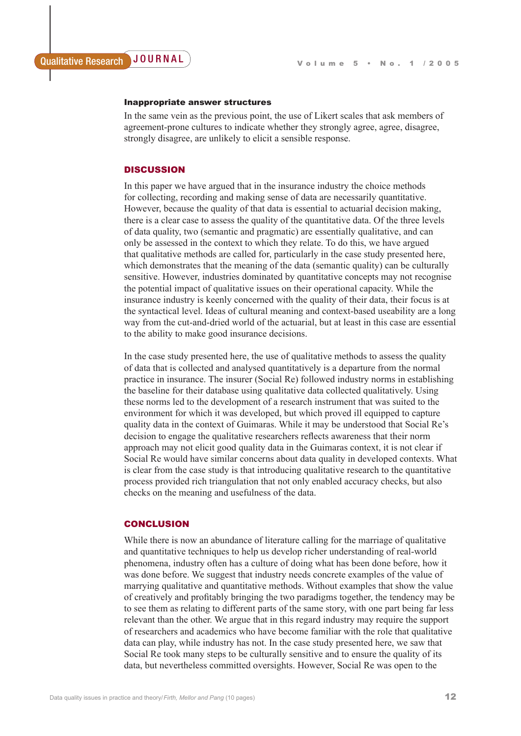#### Inappropriate answer structures

In the same vein as the previous point, the use of Likert scales that ask members of agreement-prone cultures to indicate whether they strongly agree, agree, disagree, strongly disagree, are unlikely to elicit a sensible response.

# **DISCUSSION**

In this paper we have argued that in the insurance industry the choice methods for collecting, recording and making sense of data are necessarily quantitative. However, because the quality of that data is essential to actuarial decision making, there is a clear case to assess the quality of the quantitative data. Of the three levels of data quality, two (semantic and pragmatic) are essentially qualitative, and can only be assessed in the context to which they relate. To do this, we have argued that qualitative methods are called for, particularly in the case study presented here, which demonstrates that the meaning of the data (semantic quality) can be culturally sensitive. However, industries dominated by quantitative concepts may not recognise the potential impact of qualitative issues on their operational capacity. While the insurance industry is keenly concerned with the quality of their data, their focus is at the syntactical level. Ideas of cultural meaning and context-based useability are a long way from the cut-and-dried world of the actuarial, but at least in this case are essential to the ability to make good insurance decisions.

In the case study presented here, the use of qualitative methods to assess the quality of data that is collected and analysed quantitatively is a departure from the normal practice in insurance. The insurer (Social Re) followed industry norms in establishing the baseline for their database using qualitative data collected qualitatively. Using these norms led to the development of a research instrument that was suited to the environment for which it was developed, but which proved ill equipped to capture quality data in the context of Guimaras. While it may be understood that Social Re's decision to engage the qualitative researchers reflects awareness that their norm approach may not elicit good quality data in the Guimaras context, it is not clear if Social Re would have similar concerns about data quality in developed contexts. What is clear from the case study is that introducing qualitative research to the quantitative process provided rich triangulation that not only enabled accuracy checks, but also checks on the meaning and usefulness of the data.

# **CONCLUSION**

While there is now an abundance of literature calling for the marriage of qualitative and quantitative techniques to help us develop richer understanding of real-world phenomena, industry often has a culture of doing what has been done before, how it was done before. We suggest that industry needs concrete examples of the value of marrying qualitative and quantitative methods. Without examples that show the value of creatively and profitably bringing the two paradigms together, the tendency may be to see them as relating to different parts of the same story, with one part being far less relevant than the other. We argue that in this regard industry may require the support of researchers and academics who have become familiar with the role that qualitative data can play, while industry has not. In the case study presented here, we saw that Social Re took many steps to be culturally sensitive and to ensure the quality of its data, but nevertheless committed oversights. However, Social Re was open to the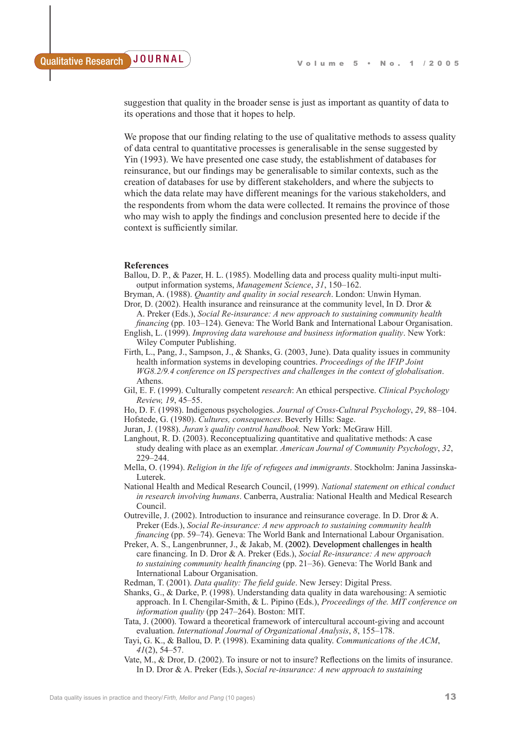suggestion that quality in the broader sense is just as important as quantity of data to its operations and those that it hopes to help.

We propose that our finding relating to the use of qualitative methods to assess quality of data central to quantitative processes is generalisable in the sense suggested by Yin (1993). We have presented one case study, the establishment of databases for reinsurance, but our findings may be generalisable to similar contexts, such as the creation of databases for use by different stakeholders, and where the subjects to which the data relate may have different meanings for the various stakeholders, and the respondents from whom the data were collected. It remains the province of those who may wish to apply the findings and conclusion presented here to decide if the context is sufficiently similar.

#### **References**

- Ballou, D. P., & Pazer, H. L. (1985). Modelling data and process quality multi-input multioutput information systems, *Management Science*, *31*, 150–162.
- Bryman, A. (1988). *Quantity and quality in social research*. London: Unwin Hyman.
- Dror, D. (2002). Health insurance and reinsurance at the community level, In D. Dror & A. Preker (Eds.), *Social Re-insurance: A new approach to sustaining community health*
- *financing* (pp. 103–124). Geneva: The World Bank and International Labour Organisation. English, L. (1999). *Improving data warehouse and business information quality*. New York: Wiley Computer Publishing.
- Firth, L., Pang, J., Sampson, J., & Shanks, G. (2003, June). Data quality issues in community health information systems in developing countries. *Proceedings of the IFIP Joint WG8.2/9.4 conference on IS perspectives and challenges in the context of globalisation*. Athens.
- Gil, E. F. (1999). Culturally competent *research*: An ethical perspective. *Clinical Psychology Review, 19*, 45–55.
- Ho, D. F. (1998). Indigenous psychologies. *Journal of Cross-Cultural Psychology*, *29*, 88–104. Hofstede, G. (1980). *Cultures, consequences*. Beverly Hills: Sage.
- Juran, J. (1988). *Juran's quality control handbook.* New York: McGraw Hill.
- Langhout, R. D. (2003). Reconceptualizing quantitative and qualitative methods: A case study dealing with place as an exemplar. *American Journal of Community Psychology*, *32*, 229–244.
- Mella, O. (1994). *Religion in the life of refugees and immigrants*. Stockholm: Janina Jassinska-Luterek.
- National Health and Medical Research Council, (1999). *National statement on ethical conduct in research involving humans*. Canberra, Australia: National Health and Medical Research Council.
- Outreville, J. (2002). Introduction to insurance and reinsurance coverage. In D. Dror & A. Preker (Eds.), *Social Re-insurance: A new approach to sustaining community health financing* (pp. 59–74). Geneva: The World Bank and International Labour Organisation.
- Preker, A. S., Langenbrunner, J., & Jakab, M. (2002). Development challenges in health care financing. In D. Dror & A. Preker (Eds.), *Social Re-insurance: A new approach to sustaining community health financing* (pp. 21–36). Geneva: The World Bank and International Labour Organisation.
- Redman, T. (2001). *Data quality: The field guide*. New Jersey: Digital Press.
- Shanks, G., & Darke, P. (1998). Understanding data quality in data warehousing: A semiotic approach. In I. Chengilar-Smith, & L. Pipino (Eds.), *Proceedings of the. MIT conference on information quality* (pp 247–264). Boston: MIT.
- Tata, J. (2000). Toward a theoretical framework of intercultural account-giving and account evaluation. *International Journal of Organizational Analysis*, *8*, 155–178.
- Tayi, G. K., & Ballou, D. P. (1998). Examining data quality. *Communications of the ACM*, *41*(2), 54–57.
- Vate, M., & Dror, D. (2002). To insure or not to insure? Reflections on the limits of insurance. In D. Dror & A. Preker (Eds.), *Social re-insurance: A new approach to sustaining*